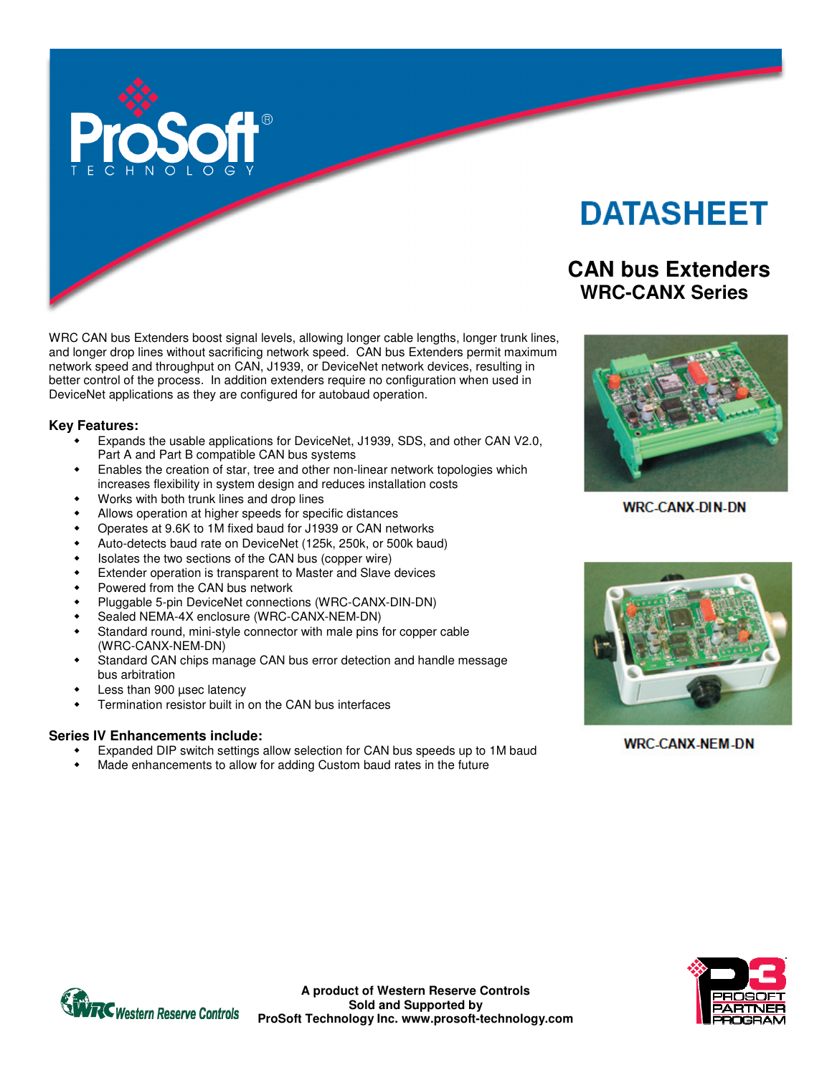

# **DATASHEET**

# **CAN bus Extenders WRC-CANX Series**

**WRC-CANX-DIN-DN** 



**WRC-CANX-NEM-DN** 

WRC CAN bus Extenders boost signal levels, allowing longer cable lengths, longer trunk lines, and longer drop lines without sacrificing network speed. CAN bus Extenders permit maximum network speed and throughput on CAN, J1939, or DeviceNet network devices, resulting in better control of the process. In addition extenders require no configuration when used in DeviceNet applications as they are configured for autobaud operation.

#### **Key Features:**

- Expands the usable applications for DeviceNet, J1939, SDS, and other CAN V2.0, Part A and Part B compatible CAN bus systems
- Enables the creation of star, tree and other non-linear network topologies which increases flexibility in system design and reduces installation costs
- Works with both trunk lines and drop lines
- Allows operation at higher speeds for specific distances
- Operates at 9.6K to 1M fixed baud for J1939 or CAN networks
- Auto-detects baud rate on DeviceNet (125k, 250k, or 500k baud)
- Isolates the two sections of the CAN bus (copper wire)
- Extender operation is transparent to Master and Slave devices
- Powered from the CAN bus network
- Pluggable 5-pin DeviceNet connections (WRC-CANX-DIN-DN)
- Sealed NEMA-4X enclosure (WRC-CANX-NEM-DN)
- Standard round, mini-style connector with male pins for copper cable (WRC-CANX-NEM-DN)
- Standard CAN chips manage CAN bus error detection and handle message bus arbitration
- Less than 900 µsec latency
- Termination resistor built in on the CAN bus interfaces

#### **Series IV Enhancements include:**

- Expanded DIP switch settings allow selection for CAN bus speeds up to 1M baud
- Made enhancements to allow for adding Custom baud rates in the future





**A product of Western Reserve Controls Sold and Supported by ProSoft Technology Inc. www.prosoft-technology.com**